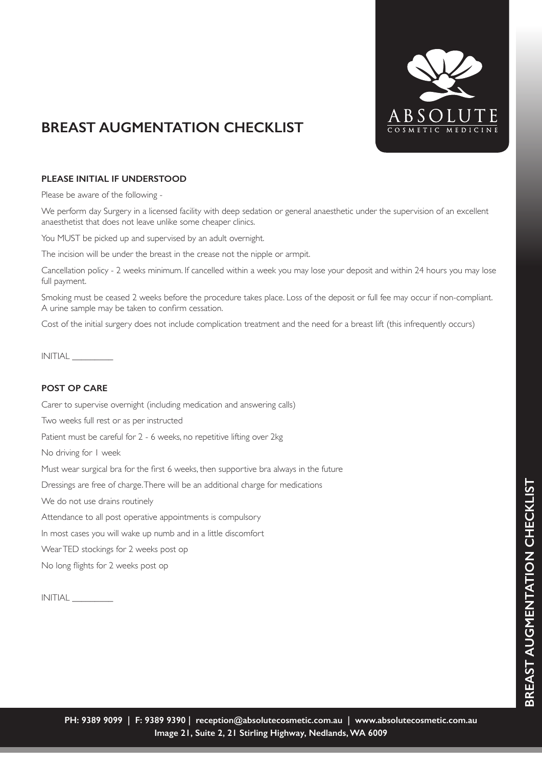

## **BREAST AUGMENTATION CHECKLIST**

## **PLEASE INITIAL IF UNDERSTOOD**

Please be aware of the following -

We perform day Surgery in a licensed facility with deep sedation or general anaesthetic under the supervision of an excellent anaesthetist that does not leave unlike some cheaper clinics.

You MUST be picked up and supervised by an adult overnight.

The incision will be under the breast in the crease not the nipple or armpit.

Cancellation policy - 2 weeks minimum. If cancelled within a week you may lose your deposit and within 24 hours you may lose full payment.

Smoking must be ceased 2 weeks before the procedure takes place. Loss of the deposit or full fee may occur if non-compliant. A urine sample may be taken to confirm cessation.

Cost of the initial surgery does not include complication treatment and the need for a breast lift (this infrequently occurs)

INITIAL \_\_\_\_\_\_\_\_\_

## **POST OP CARE**

Carer to supervise overnight (including medication and answering calls)

Two weeks full rest or as per instructed

Patient must be careful for 2 - 6 weeks, no repetitive lifting over 2kg

No driving for 1 week

Must wear surgical bra for the first 6 weeks, then supportive bra always in the future

Dressings are free of charge. There will be an additional charge for medications

We do not use drains routinely

Attendance to all post operative appointments is compulsory

In most cases you will wake up numb and in a little discomfort

Wear TED stockings for 2 weeks post op

No long flights for 2 weeks post op

INITIAL \_\_\_\_\_\_\_\_\_